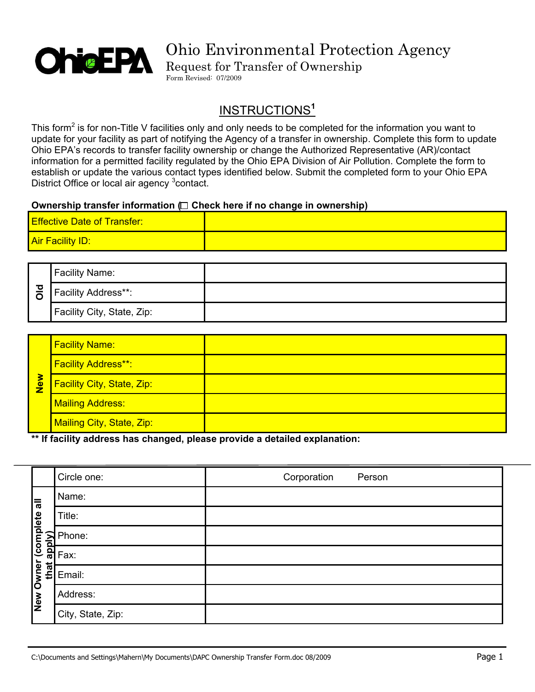

Request for Transfer of Ownership Form Revised: 07/2009

### INSTRUCTIONS**<sup>1</sup>**

This form<sup>2</sup> is for non-Title V facilities only and only needs to be completed for the information you want to update for your facility as part of notifying the Agency of a transfer in ownership. Complete this form to update Ohio EPA's records to transfer facility ownership or change the Authorized Representative (AR)/contact information for a permitted facility regulated by the Ohio EPA Division of Air Pollution. Complete the form to establish or update the various contact types identified below. Submit the completed form to your Ohio EPA District Office or local air agency <sup>3</sup> contact.

#### **Ownership transfer information** ◯ Check here if no change in ownership)

| <b>Effective Date of Transfer:</b> |  |
|------------------------------------|--|
| <b>Air Facility ID:</b>            |  |

| 프 | <b>Facility Name:</b>      |  |
|---|----------------------------|--|
|   | Facility Address**:        |  |
|   | Facility City, State, Zip: |  |

|     | <b>Facility Name:</b>             |  |
|-----|-----------------------------------|--|
| New | <b>Facility Address**:</b>        |  |
|     | <b>Facility City, State, Zip:</b> |  |
|     | <b>Mailing Address:</b>           |  |
|     | Mailing City, State, Zip:         |  |

#### **\*\* If facility address has changed, please provide a detailed explanation:**

|               | Circle one:                                        | Corporation | Person |
|---------------|----------------------------------------------------|-------------|--------|
| ⊫Г            | Name:                                              |             |        |
|               | Title:                                             |             |        |
| (complete     | Phone:<br>$\frac{2}{\frac{2}{\frac{2}{\pi}}}$ Phor |             |        |
|               |                                                    |             |        |
| Owner<br>that | Email:                                             |             |        |
| New           | Address:                                           |             |        |
|               | City, State, Zip:                                  |             |        |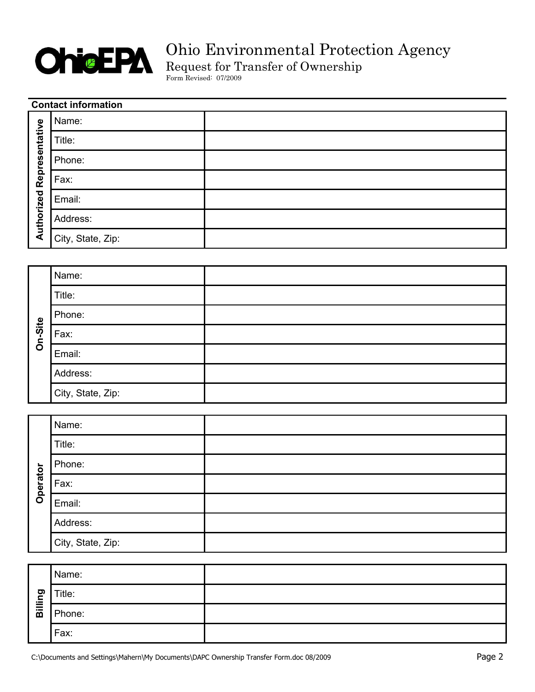

Request for Transfer of Ownership

Form Revised: 07/2009

| <b>Contact information</b> |                   |  |
|----------------------------|-------------------|--|
|                            | Name:             |  |
|                            | Title:            |  |
| Representative             | Phone:            |  |
|                            | Fax:              |  |
|                            | Email:            |  |
| Authorized                 | Address:          |  |
|                            | City, State, Zip: |  |

|         | Name:             |  |
|---------|-------------------|--|
|         | Title:            |  |
|         | Phone:            |  |
| On-Site | Fax:              |  |
|         | Email:            |  |
|         | Address:          |  |
|         | City, State, Zip: |  |

|          | Name:             |  |
|----------|-------------------|--|
|          | Title:            |  |
|          | Phone:            |  |
| Operator | Fax:              |  |
|          | Email:            |  |
|          | Address:          |  |
|          | City, State, Zip: |  |

| ත<br>Billir | Name:  |  |
|-------------|--------|--|
|             | Title: |  |
|             | Phone: |  |
|             | Fax:   |  |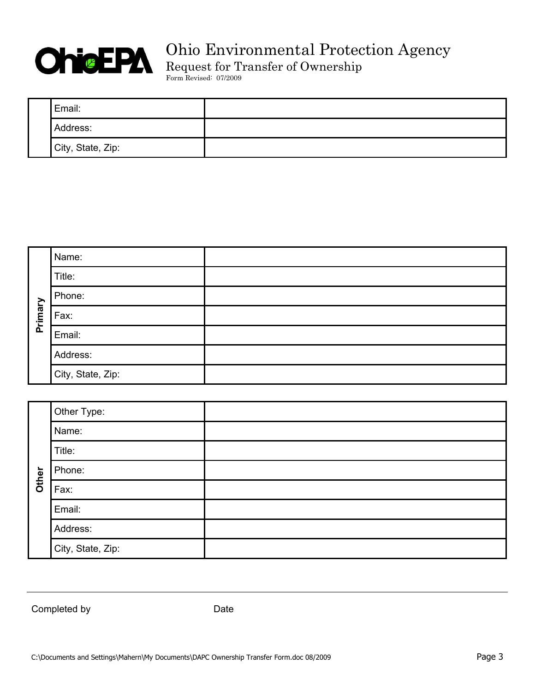

Request for Transfer of Ownership

Form Revised: 07/2009

| Email:            |  |
|-------------------|--|
| Address:          |  |
| City, State, Zip: |  |

|         | Name:             |  |
|---------|-------------------|--|
|         | Title:            |  |
|         | Phone:            |  |
| Primary | Fax:              |  |
|         | Email:            |  |
|         | Address:          |  |
|         | City, State, Zip: |  |

|       | Other Type:       |  |
|-------|-------------------|--|
|       | Name:             |  |
|       | Title:            |  |
| Other | Phone:            |  |
|       | Fax:              |  |
|       | Email:            |  |
|       | Address:          |  |
|       | City, State, Zip: |  |

Completed by Date